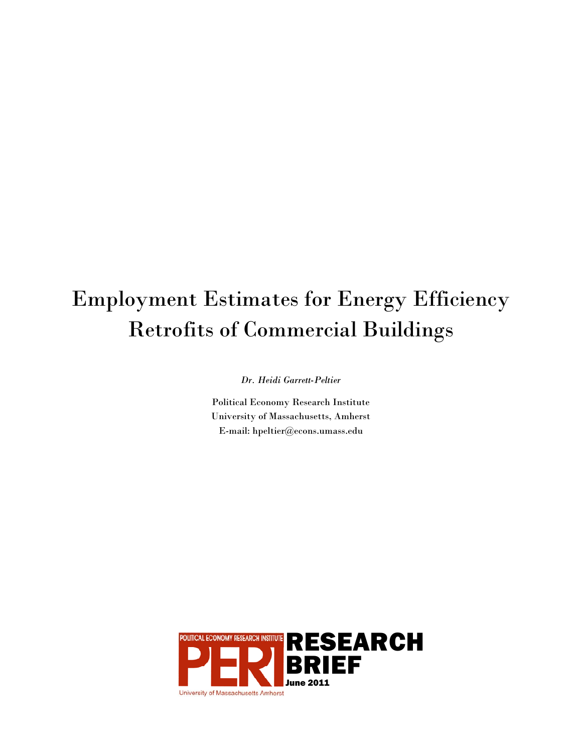# Employment Estimates for Energy Efficiency Retrofits of Commercial Buildings

*Dr. Heidi Garrett-Peltier* 

Political Economy Research Institute University of Massachusetts, Amherst E-mail: hpeltier@econs.umass.edu

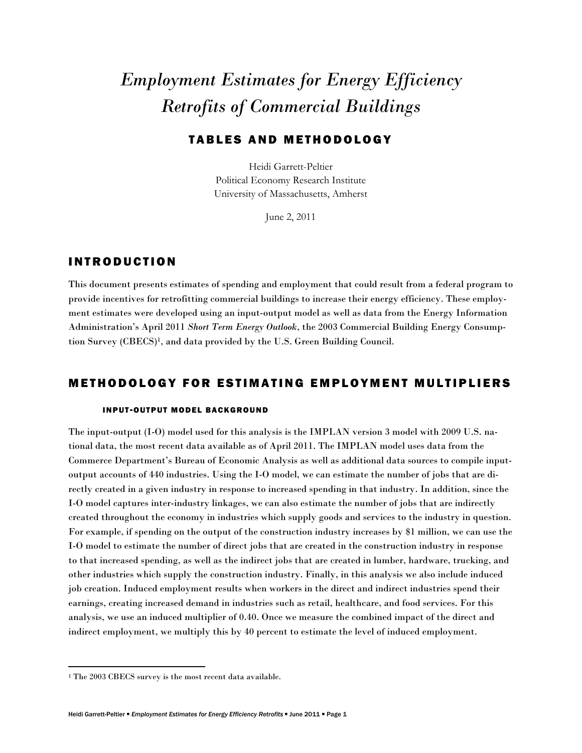## *Employment Estimates for Energy Efficiency Retrofits of Commercial Buildings*

#### TABLES AND METHODOLOGY

Heidi Garrett-Peltier Political Economy Research Institute University of Massachusetts, Amherst

June 2, 2011

#### INTRODUCTION

This document presents estimates of spending and employment that could result from a federal program to provide incentives for retrofitting commercial buildings to increase their energy efficiency. These employment estimates were developed using an input-output model as well as data from the Energy Information Administration's April 2011 *Short Term Energy Outlook*, the 2003 Commercial Building Energy Consumption Survey (CBECS)1, and data provided by the U.S. Green Building Council.

#### METHODOLOGY FOR ESTIMATING EMPLOYMENT MULTIPLIERS

#### **INPUT-OUTPUT MODEL BACKGROUND**

The input-output (I-O) model used for this analysis is the IMPLAN version 3 model with 2009 U.S. national data, the most recent data available as of April 2011. The IMPLAN model uses data from the Commerce Department's Bureau of Economic Analysis as well as additional data sources to compile inputoutput accounts of 440 industries. Using the I-O model, we can estimate the number of jobs that are directly created in a given industry in response to increased spending in that industry. In addition, since the I-O model captures inter-industry linkages, we can also estimate the number of jobs that are indirectly created throughout the economy in industries which supply goods and services to the industry in question. For example, if spending on the output of the construction industry increases by \$1 million, we can use the I-O model to estimate the number of direct jobs that are created in the construction industry in response to that increased spending, as well as the indirect jobs that are created in lumber, hardware, trucking, and other industries which supply the construction industry. Finally, in this analysis we also include induced job creation. Induced employment results when workers in the direct and indirect industries spend their earnings, creating increased demand in industries such as retail, healthcare, and food services. For this analysis, we use an induced multiplier of 0.40. Once we measure the combined impact of the direct and indirect employment, we multiply this by 40 percent to estimate the level of induced employment.

<sup>1</sup> The 2003 CBECS survey is the most recent data available.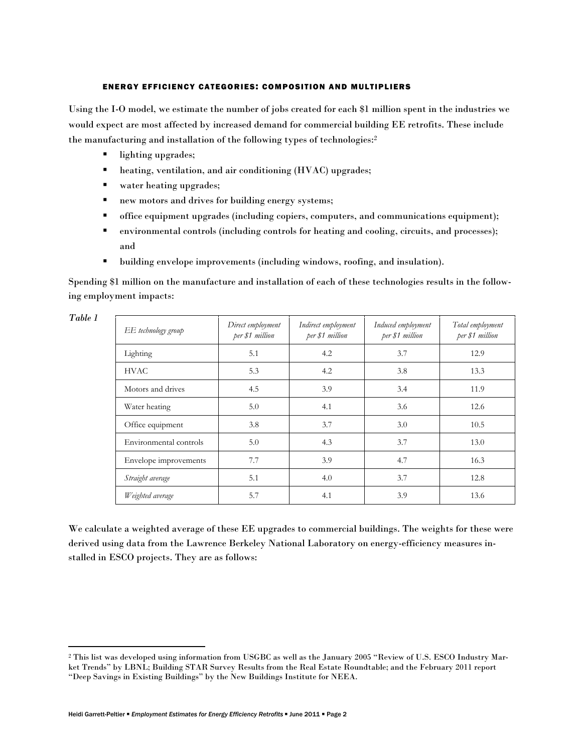#### ENERGY EFFICIENCY CATEGORIES: COMPOSITION AND MULTIPLIERS

Using the I-O model, we estimate the number of jobs created for each \$1 million spent in the industries we would expect are most affected by increased demand for commercial building EE retrofits. These include the manufacturing and installation of the following types of technologies:2

- lighting upgrades;
- **heating, ventilation, and air conditioning (HVAC) upgrades;**
- water heating upgrades;
- new motors and drives for building energy systems;
- office equipment upgrades (including copiers, computers, and communications equipment);
- environmental controls (including controls for heating and cooling, circuits, and processes); and
- building envelope improvements (including windows, roofing, and insulation).

Spending \$1 million on the manufacture and installation of each of these technologies results in the following employment impacts:

| EE technology group    | Direct employment<br>per \$1 million | Indirect employment<br>per \$1 million | Induced employment<br>per \$1 million | Total employment<br>per \$1 million |
|------------------------|--------------------------------------|----------------------------------------|---------------------------------------|-------------------------------------|
| Lighting               | 5.1                                  | 4.2                                    | 3.7                                   | 12.9                                |
| <b>HVAC</b>            | 5.3                                  | 4.2                                    | 3.8                                   | 13.3                                |
| Motors and drives      | 4.5                                  | 3.9                                    | 3.4                                   | 11.9                                |
| Water heating          | 5.0                                  | 4.1                                    | 3.6                                   | 12.6                                |
| Office equipment       | 3.8                                  | 3.7                                    | 3.0                                   | 10.5                                |
| Environmental controls | 5.0                                  | 4.3                                    | 3.7                                   | 13.0                                |
| Envelope improvements  | 7.7                                  | 3.9                                    | 4.7                                   | 16.3                                |
| Straight average       | 5.1                                  | 4.0                                    | 3.7                                   | 12.8                                |
| Weighted average       | 5.7                                  | 4.1                                    | 3.9                                   | 13.6                                |

*Table 1* 

We calculate a weighted average of these EE upgrades to commercial buildings. The weights for these were derived using data from the Lawrence Berkeley National Laboratory on energy-efficiency measures installed in ESCO projects. They are as follows:

<sup>2</sup> This list was developed using information from USGBC as well as the January 2005 "Review of U.S. ESCO Industry Market Trends" by LBNL; Building STAR Survey Results from the Real Estate Roundtable; and the February 2011 report "Deep Savings in Existing Buildings" by the New Buildings Institute for NEEA.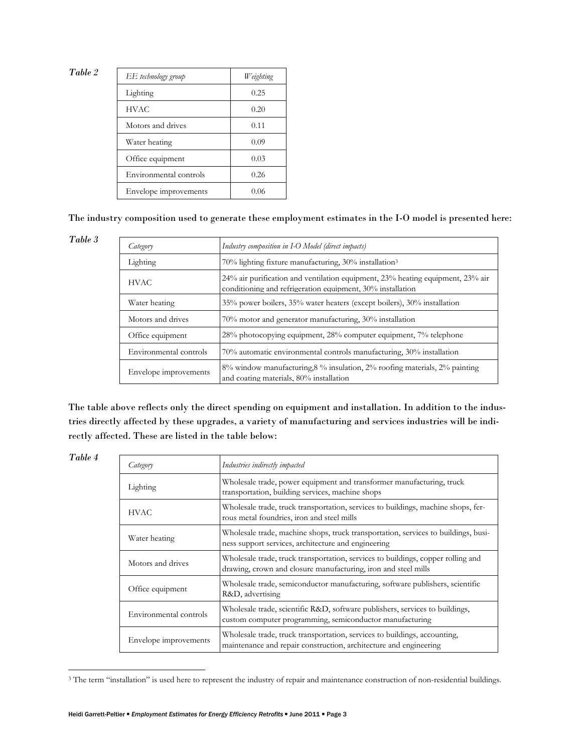*Table 2* 

| EE technology group    | Weighting |
|------------------------|-----------|
| Lighting               | 0.25      |
| <b>HVAC</b>            | 0.20      |
| Motors and drives      | 0.11      |
| Water heating          | 0.09      |
| Office equipment       | 0.03      |
| Environmental controls | 0.26      |
| Envelope improvements  | 0.06      |

The industry composition used to generate these employment estimates in the I-O model is presented here:

*Table 3* 

| Category               | Industry composition in I-O Model (direct impacts)                                                                                           |
|------------------------|----------------------------------------------------------------------------------------------------------------------------------------------|
| Lighting               | 70% lighting fixture manufacturing, 30% installation <sup>3</sup>                                                                            |
| <b>HVAC</b>            | 24% air purification and ventilation equipment, 23% heating equipment, 23% air<br>conditioning and refrigeration equipment, 30% installation |
| Water heating          | 35% power boilers, 35% water heaters (except boilers), 30% installation                                                                      |
| Motors and drives      | 70% motor and generator manufacturing, 30% installation                                                                                      |
| Office equipment       | 28% photocopying equipment, 28% computer equipment, 7% telephone                                                                             |
| Environmental controls | 70% automatic environmental controls manufacturing, 30% installation                                                                         |
| Envelope improvements  | 8% window manufacturing, 8% insulation, 2% roofing materials, 2% painting<br>and coating materials, 80% installation                         |

The table above reflects only the direct spending on equipment and installation. In addition to the industries directly affected by these upgrades, a variety of manufacturing and services industries will be indirectly affected. These are listed in the table below:

| ante |  |
|------|--|
|------|--|

| Category               | Industries indirectly impacted                                                                                                                     |
|------------------------|----------------------------------------------------------------------------------------------------------------------------------------------------|
| Lighting               | Wholesale trade, power equipment and transformer manufacturing, truck<br>transportation, building services, machine shops                          |
| <b>HVAC</b>            | Wholesale trade, truck transportation, services to buildings, machine shops, fer-<br>rous metal foundries, iron and steel mills                    |
| Water heating          | Wholesale trade, machine shops, truck transportation, services to buildings, busi-<br>ness support services, architecture and engineering          |
| Motors and drives      | Wholesale trade, truck transportation, services to buildings, copper rolling and<br>drawing, crown and closure manufacturing, iron and steel mills |
| Office equipment       | Wholesale trade, semiconductor manufacturing, software publishers, scientific<br>R&D, advertising                                                  |
| Environmental controls | Wholesale trade, scientific R&D, software publishers, services to buildings,<br>custom computer programming, semiconductor manufacturing           |
| Envelope improvements  | Wholesale trade, truck transportation, services to buildings, accounting,<br>maintenance and repair construction, architecture and engineering     |

<sup>&</sup>lt;sup>3</sup> The term "installation" is used here to represent the industry of repair and maintenance construction of non-residential buildings.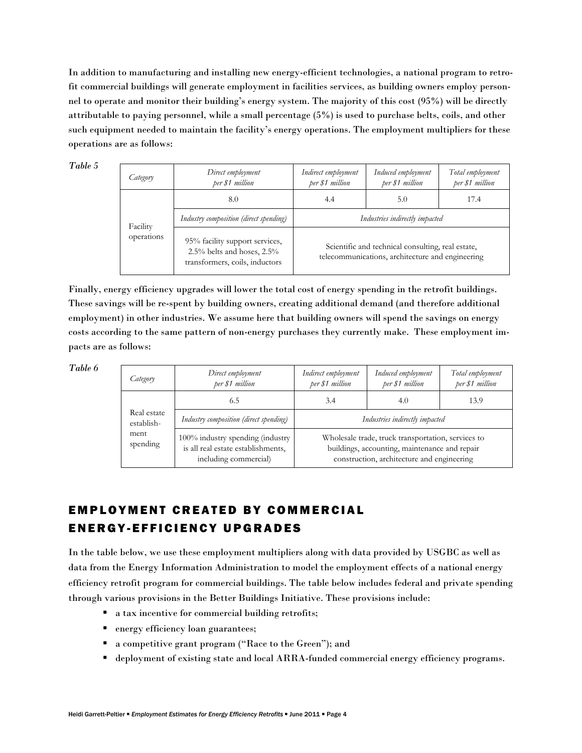In addition to manufacturing and installing new energy-efficient technologies, a national program to retrofit commercial buildings will generate employment in facilities services, as building owners employ personnel to operate and monitor their building's energy system. The majority of this cost (95%) will be directly attributable to paying personnel, while a small percentage (5%) is used to purchase belts, coils, and other such equipment needed to maintain the facility's energy operations. The employment multipliers for these operations are as follows:

*Table 5* 

| Category                                                                                                                                                                 | Direct employment<br>per \$1 million                                                                  | Indirect employment<br>per \$1 million | Induced employment<br>per \$1 million | Total employment<br>per \$1 million |
|--------------------------------------------------------------------------------------------------------------------------------------------------------------------------|-------------------------------------------------------------------------------------------------------|----------------------------------------|---------------------------------------|-------------------------------------|
|                                                                                                                                                                          | 8.0                                                                                                   | 4.4                                    | 5.0                                   | 17.4                                |
| Industry composition (direct spending)<br>Facility<br>operations<br>95% facility support services,<br>$2.5\%$ belts and hoses, $2.5\%$<br>transformers, coils, inductors |                                                                                                       | Industries indirectly impacted         |                                       |                                     |
|                                                                                                                                                                          | Scientific and technical consulting, real estate,<br>telecommunications, architecture and engineering |                                        |                                       |                                     |

Finally, energy efficiency upgrades will lower the total cost of energy spending in the retrofit buildings. These savings will be re-spent by building owners, creating additional demand (and therefore additional employment) in other industries. We assume here that building owners will spend the savings on energy costs according to the same pattern of non-energy purchases they currently make. These employment impacts are as follows:

*Table 6* 

| Category                                                                                                               | Direct employment<br>per \$1 million   | Indirect employment<br>per \$1 million                                                                                                            | Induced employment<br>per \$1 million | Total employment<br>per \$1 million |  |
|------------------------------------------------------------------------------------------------------------------------|----------------------------------------|---------------------------------------------------------------------------------------------------------------------------------------------------|---------------------------------------|-------------------------------------|--|
|                                                                                                                        | 6.5                                    | 3.4                                                                                                                                               | 4.0                                   | 13.9                                |  |
| Real estate<br>establish-                                                                                              | Industry composition (direct spending) | Industries indirectly impacted                                                                                                                    |                                       |                                     |  |
| ment<br>$100\%$ industry spending (industry<br>spending<br>is all real estate establishments,<br>including commercial) |                                        | Wholesale trade, truck transportation, services to<br>buildings, accounting, maintenance and repair<br>construction, architecture and engineering |                                       |                                     |  |

### EMPLOYMENT CREATED BY COMMERCIAL ENERGY-EFFICIENCY UPGRADES

In the table below, we use these employment multipliers along with data provided by USGBC as well as data from the Energy Information Administration to model the employment effects of a national energy efficiency retrofit program for commercial buildings. The table below includes federal and private spending through various provisions in the Better Buildings Initiative. These provisions include:

- a tax incentive for commercial building retrofits;
- **energy efficiency loan guarantees;**
- a competitive grant program ("Race to the Green"); and
- deployment of existing state and local ARRA-funded commercial energy efficiency programs.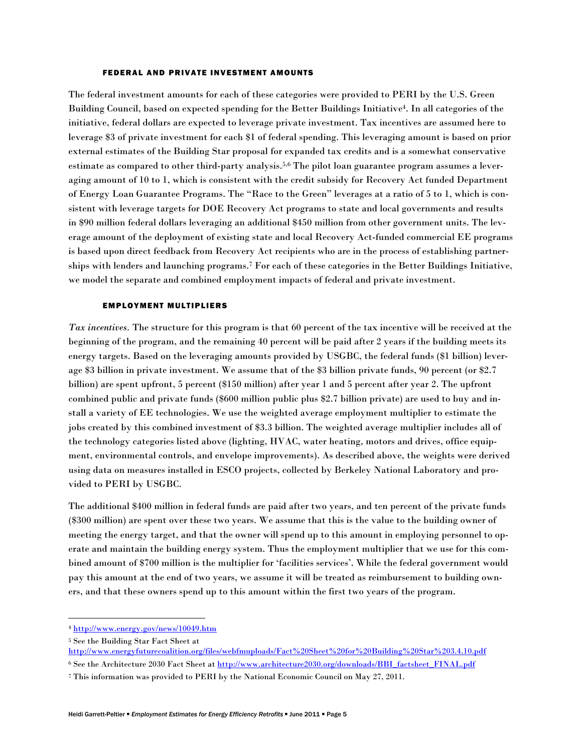#### FEDERAL AND PRIVATE INVESTMENT AMOUNTS

The federal investment amounts for each of these categories were provided to PERI by the U.S. Green Building Council, based on expected spending for the Better Buildings Initiative4. In all categories of the initiative, federal dollars are expected to leverage private investment. Tax incentives are assumed here to leverage \$3 of private investment for each \$1 of federal spending. This leveraging amount is based on prior external estimates of the Building Star proposal for expanded tax credits and is a somewhat conservative estimate as compared to other third-party analysis.5,6 The pilot loan guarantee program assumes a leveraging amount of 10 to 1, which is consistent with the credit subsidy for Recovery Act funded Department of Energy Loan Guarantee Programs. The "Race to the Green" leverages at a ratio of 5 to 1, which is consistent with leverage targets for DOE Recovery Act programs to state and local governments and results in \$90 million federal dollars leveraging an additional \$450 million from other government units. The leverage amount of the deployment of existing state and local Recovery Act-funded commercial EE programs is based upon direct feedback from Recovery Act recipients who are in the process of establishing partnerships with lenders and launching programs.7 For each of these categories in the Better Buildings Initiative, we model the separate and combined employment impacts of federal and private investment.

#### EMPLOYMENT MULTIPLIERS

*Tax incentives.* The structure for this program is that 60 percent of the tax incentive will be received at the beginning of the program, and the remaining 40 percent will be paid after 2 years if the building meets its energy targets. Based on the leveraging amounts provided by USGBC, the federal funds (\$1 billion) leverage \$3 billion in private investment. We assume that of the \$3 billion private funds, 90 percent (or \$2.7 billion) are spent upfront, 5 percent (\$150 million) after year 1 and 5 percent after year 2. The upfront combined public and private funds (\$600 million public plus \$2.7 billion private) are used to buy and install a variety of EE technologies. We use the weighted average employment multiplier to estimate the jobs created by this combined investment of \$3.3 billion. The weighted average multiplier includes all of the technology categories listed above (lighting, HVAC, water heating, motors and drives, office equipment, environmental controls, and envelope improvements). As described above, the weights were derived using data on measures installed in ESCO projects, collected by Berkeley National Laboratory and provided to PERI by USGBC.

The additional \$400 million in federal funds are paid after two years, and ten percent of the private funds (\$300 million) are spent over these two years. We assume that this is the value to the building owner of meeting the energy target, and that the owner will spend up to this amount in employing personnel to operate and maintain the building energy system. Thus the employment multiplier that we use for this combined amount of \$700 million is the multiplier for 'facilities services'. While the federal government would pay this amount at the end of two years, we assume it will be treated as reimbursement to building owners, and that these owners spend up to this amount within the first two years of the program.

 <sup>4</sup> http://www.energy.gov/news/10049.htm

<sup>5</sup> See the Building Star Fact Sheet at

http://www.energyfuturecoalition.org/files/webfmuploads/Fact%20Sheet%20for%20Building%20Star%203.4.10.pdf

<sup>&</sup>lt;sup>6</sup> See the Architecture 2030 Fact Sheet at http://www.architecture2030.org/downloads/BBI\_factsheet\_FINAL.pdf

<sup>7</sup> This information was provided to PERI by the National Economic Council on May 27, 2011.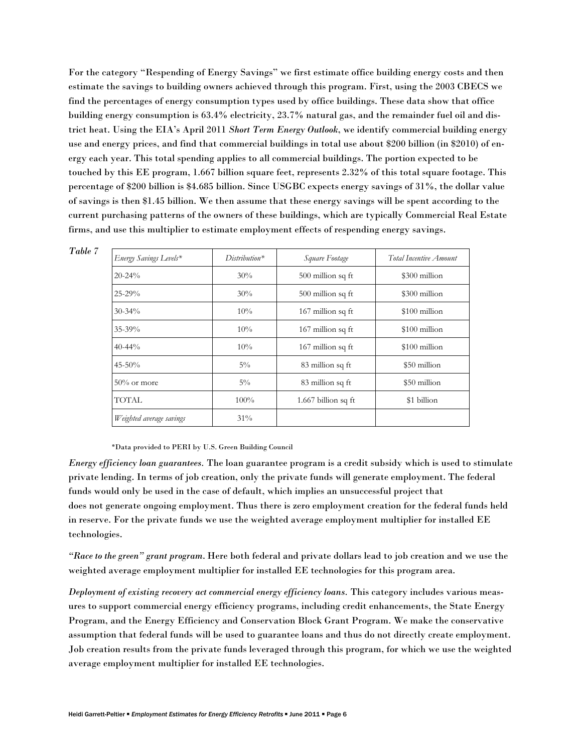For the category "Respending of Energy Savings" we first estimate office building energy costs and then estimate the savings to building owners achieved through this program. First, using the 2003 CBECS we find the percentages of energy consumption types used by office buildings. These data show that office building energy consumption is 63.4% electricity, 23.7% natural gas, and the remainder fuel oil and district heat. Using the EIA's April 2011 *Short Term Energy Outlook*, we identify commercial building energy use and energy prices, and find that commercial buildings in total use about \$200 billion (in \$2010) of energy each year. This total spending applies to all commercial buildings. The portion expected to be touched by this EE program, 1.667 billion square feet, represents 2.32% of this total square footage. This percentage of \$200 billion is \$4.685 billion. Since USGBC expects energy savings of 31%, the dollar value of savings is then \$1.45 billion. We then assume that these energy savings will be spent according to the current purchasing patterns of the owners of these buildings, which are typically Commercial Real Estate firms, and use this multiplier to estimate employment effects of respending energy savings.

| Energy Savings Levels*   | $Distribution^*$ | Square Footage      | Total Incentive Amount |  |
|--------------------------|------------------|---------------------|------------------------|--|
| $20 - 24\%$              | 30%              | 500 million sq ft   | \$300 million          |  |
| $25 - 29%$               | 30%              | 500 million sq ft   | \$300 million          |  |
| $30 - 34\%$              | 10%              | 167 million sq ft   | \$100 million          |  |
| $35 - 39\%$              | 10%              | 167 million sq ft   | \$100 million          |  |
| $40 - 44\%$              | 10%              | 167 million sq ft   | $$100$ million         |  |
| $45 - 50%$               | $5\%$            | 83 million sq ft    | \$50 million           |  |
| $50\%$ or more           | $5\%$            | 83 million sq ft    | \$50 million           |  |
| <b>TOTAL</b>             | $100\%$          | 1.667 billion sq ft | \$1 billion            |  |
| Weighted average savings | 31%              |                     |                        |  |

\*Data provided to PERI by U.S. Green Building Council

*Table 7* 

*Energy efficiency loan guarantees.* The loan guarantee program is a credit subsidy which is used to stimulate private lending. In terms of job creation, only the private funds will generate employment. The federal funds would only be used in the case of default, which implies an unsuccessful project that does not generate ongoing employment. Thus there is zero employment creation for the federal funds held in reserve. For the private funds we use the weighted average employment multiplier for installed EE technologies.

*"Race to the green" grant program*. Here both federal and private dollars lead to job creation and we use the weighted average employment multiplier for installed EE technologies for this program area.

*Deployment of existing recovery act commercial energy efficiency loans.* This category includes various measures to support commercial energy efficiency programs, including credit enhancements, the State Energy Program, and the Energy Efficiency and Conservation Block Grant Program. We make the conservative assumption that federal funds will be used to guarantee loans and thus do not directly create employment. Job creation results from the private funds leveraged through this program, for which we use the weighted average employment multiplier for installed EE technologies.